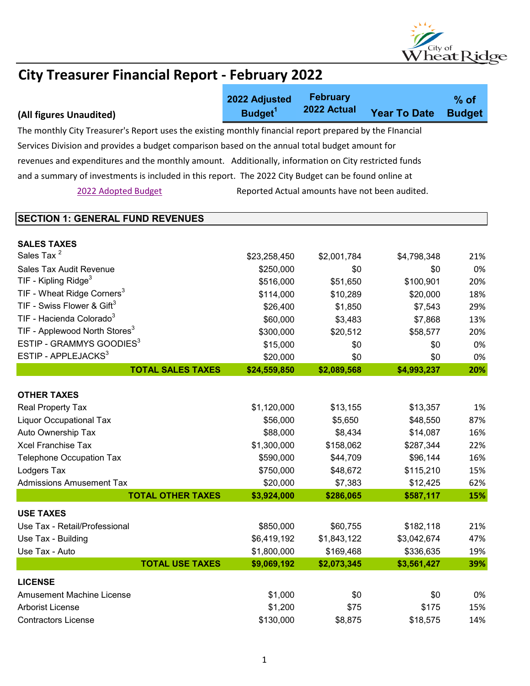

|                                                                                                          | 2022 Adjusted       | <b>February</b><br>2022 Actual                 |                     | $%$ of        |  |
|----------------------------------------------------------------------------------------------------------|---------------------|------------------------------------------------|---------------------|---------------|--|
| (All figures Unaudited)                                                                                  | Budget <sup>1</sup> |                                                | <b>Year To Date</b> | <b>Budget</b> |  |
| The monthly City Treasurer's Report uses the existing monthly financial report prepared by the Flnancial |                     |                                                |                     |               |  |
| Services Division and provides a budget comparison based on the annual total budget amount for           |                     |                                                |                     |               |  |
| revenues and expenditures and the monthly amount. Additionally, information on City restricted funds     |                     |                                                |                     |               |  |
| and a summary of investments is included in this report. The 2022 City Budget can be found online at     |                     |                                                |                     |               |  |
| 2022 Adopted Budget                                                                                      |                     | Reported Actual amounts have not been audited. |                     |               |  |
|                                                                                                          |                     |                                                |                     |               |  |
| <b>SECTION 1: GENERAL FUND REVENUES</b>                                                                  |                     |                                                |                     |               |  |
|                                                                                                          |                     |                                                |                     |               |  |
| <b>SALES TAXES</b>                                                                                       |                     |                                                |                     |               |  |
| Sales Tax <sup>2</sup>                                                                                   | \$23,258,450        | \$2,001,784                                    | \$4,798,348         | 21%           |  |
| Sales Tax Audit Revenue                                                                                  | \$250,000           | \$0                                            | \$0                 | 0%            |  |
| TIF - Kipling Ridge $3$                                                                                  | \$516,000           | \$51,650                                       | \$100,901           | 20%           |  |
| TIF - Wheat Ridge Corners <sup>3</sup>                                                                   | \$114,000           | \$10,289                                       | \$20,000            | 18%           |  |
| TIF - Swiss Flower & Gift $3$                                                                            | \$26,400            | \$1,850                                        | \$7,543             | 29%           |  |
| TIF - Hacienda Colorado <sup>3</sup>                                                                     | \$60,000            | \$3,483                                        | \$7,868             | 13%           |  |
| TIF - Applewood North Stores <sup>3</sup>                                                                | \$300,000           | \$20,512                                       | \$58,577            | 20%           |  |
| ESTIP - GRAMMYS GOODIES <sup>3</sup>                                                                     | \$15,000            | \$0                                            | \$0                 | 0%            |  |
| ESTIP - APPLEJACKS <sup>3</sup>                                                                          | \$20,000            | \$0                                            | \$0                 | 0%            |  |
| <b>TOTAL SALES TAXES</b>                                                                                 | \$24,559,850        | \$2,089,568                                    | \$4,993,237         | 20%           |  |
| <b>OTHER TAXES</b>                                                                                       |                     |                                                |                     |               |  |
| Real Property Tax                                                                                        | \$1,120,000         | \$13,155                                       | \$13,357            | 1%            |  |
| <b>Liquor Occupational Tax</b>                                                                           | \$56,000            | \$5,650                                        | \$48,550            | 87%           |  |
| Auto Ownership Tax                                                                                       | \$88,000            | \$8,434                                        | \$14,087            | 16%           |  |
| <b>Xcel Franchise Tax</b>                                                                                | \$1,300,000         | \$158,062                                      | \$287,344           | 22%           |  |
| <b>Telephone Occupation Tax</b>                                                                          | \$590,000           | \$44,709                                       | \$96,144            | 16%           |  |
| Lodgers Tax                                                                                              | \$750,000           | \$48,672                                       | \$115,210           | 15%           |  |
| <b>Admissions Amusement Tax</b>                                                                          | \$20,000            | \$7,383                                        | \$12,425            | 62%           |  |
| <b>TOTAL OTHER TAXES</b>                                                                                 | \$3,924,000         | \$286,065                                      | \$587,117           | 15%           |  |
| <b>USE TAXES</b>                                                                                         |                     |                                                |                     |               |  |
| Use Tax - Retail/Professional                                                                            | \$850,000           | \$60,755                                       | \$182,118           | 21%           |  |
| Use Tax - Building                                                                                       | \$6,419,192         | \$1,843,122                                    | \$3,042,674         | 47%           |  |
| Use Tax - Auto                                                                                           | \$1,800,000         | \$169,468                                      | \$336,635           | 19%           |  |
| <b>TOTAL USE TAXES</b>                                                                                   | \$9,069,192         | \$2,073,345                                    | \$3,561,427         | 39%           |  |
| <b>LICENSE</b>                                                                                           |                     |                                                |                     |               |  |
| <b>Amusement Machine License</b>                                                                         | \$1,000             | \$0                                            | \$0                 | 0%            |  |
| <b>Arborist License</b>                                                                                  | \$1,200             | \$75                                           | \$175               | 15%           |  |
| <b>Contractors License</b>                                                                               | \$130,000           | \$8,875                                        | \$18,575            | 14%           |  |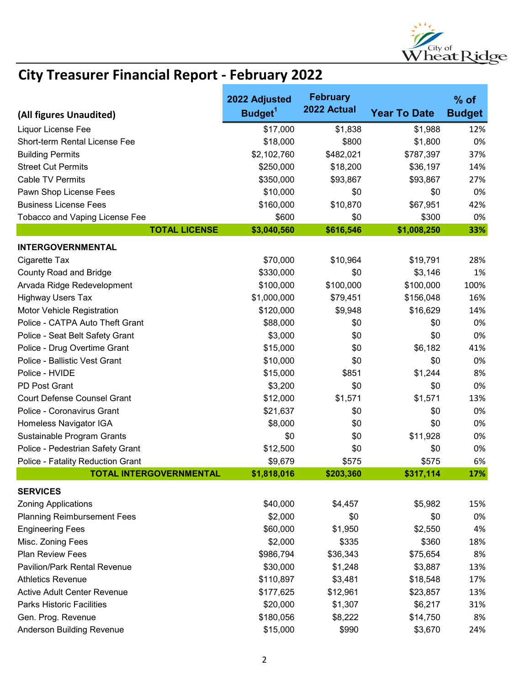

|                                     | 2022 Adjusted       | <b>February</b> |                     | $%$ of        |
|-------------------------------------|---------------------|-----------------|---------------------|---------------|
| (All figures Unaudited)             | Budget <sup>1</sup> | 2022 Actual     | <b>Year To Date</b> | <b>Budget</b> |
| Liquor License Fee                  | \$17,000            | \$1,838         | \$1,988             | 12%           |
| Short-term Rental License Fee       | \$18,000            | \$800           | \$1,800             | 0%            |
| <b>Building Permits</b>             | \$2,102,760         | \$482,021       | \$787,397           | 37%           |
| <b>Street Cut Permits</b>           | \$250,000           | \$18,200        | \$36,197            | 14%           |
| <b>Cable TV Permits</b>             | \$350,000           | \$93,867        | \$93,867            | 27%           |
| Pawn Shop License Fees              | \$10,000            | \$0             | \$0                 | 0%            |
| <b>Business License Fees</b>        | \$160,000           | \$10,870        | \$67,951            | 42%           |
| Tobacco and Vaping License Fee      | \$600               | \$0             | \$300               | 0%            |
| <b>TOTAL LICENSE</b>                | \$3,040,560         | \$616,546       | \$1,008,250         | 33%           |
| <b>INTERGOVERNMENTAL</b>            |                     |                 |                     |               |
| Cigarette Tax                       | \$70,000            | \$10,964        | \$19,791            | 28%           |
| <b>County Road and Bridge</b>       | \$330,000           | \$0             | \$3,146             | 1%            |
| Arvada Ridge Redevelopment          | \$100,000           | \$100,000       | \$100,000           | 100%          |
| <b>Highway Users Tax</b>            | \$1,000,000         | \$79,451        | \$156,048           | 16%           |
| Motor Vehicle Registration          | \$120,000           | \$9,948         | \$16,629            | 14%           |
| Police - CATPA Auto Theft Grant     | \$88,000            | \$0             | \$0                 | 0%            |
| Police - Seat Belt Safety Grant     | \$3,000             | \$0             | \$0                 | 0%            |
| Police - Drug Overtime Grant        | \$15,000            | \$0             | \$6,182             | 41%           |
| Police - Ballistic Vest Grant       | \$10,000            | \$0             | \$0                 | 0%            |
| Police - HVIDE                      | \$15,000            | \$851           | \$1,244             | 8%            |
| PD Post Grant                       | \$3,200             | \$0             | \$0                 | 0%            |
| <b>Court Defense Counsel Grant</b>  | \$12,000            | \$1,571         | \$1,571             | 13%           |
| Police - Coronavirus Grant          | \$21,637            | \$0             | \$0                 | 0%            |
| Homeless Navigator IGA              | \$8,000             | \$0             | \$0                 | 0%            |
| Sustainable Program Grants          | \$0                 | \$0             | \$11,928            | 0%            |
| Police - Pedestrian Safety Grant    | \$12,500            | \$0             | \$0                 | 0%            |
| Police - Fatality Reduction Grant   | \$9,679             | \$575           | \$575               | 6%            |
| <b>TOTAL INTERGOVERNMENTAL</b>      | \$1,818,016         | \$203,360       | \$317,114           | 17%           |
| <b>SERVICES</b>                     |                     |                 |                     |               |
| <b>Zoning Applications</b>          | \$40,000            | \$4,457         | \$5,982             | 15%           |
| <b>Planning Reimbursement Fees</b>  | \$2,000             | \$0             | \$0                 | 0%            |
| <b>Engineering Fees</b>             | \$60,000            | \$1,950         | \$2,550             | 4%            |
| Misc. Zoning Fees                   | \$2,000             | \$335           | \$360               | 18%           |
| <b>Plan Review Fees</b>             | \$986,794           | \$36,343        | \$75,654            | 8%            |
| <b>Pavilion/Park Rental Revenue</b> | \$30,000            | \$1,248         | \$3,887             | 13%           |
| <b>Athletics Revenue</b>            | \$110,897           | \$3,481         | \$18,548            | 17%           |
| <b>Active Adult Center Revenue</b>  | \$177,625           | \$12,961        | \$23,857            | 13%           |
| <b>Parks Historic Facilities</b>    | \$20,000            | \$1,307         | \$6,217             | 31%           |
| Gen. Prog. Revenue                  | \$180,056           | \$8,222         | \$14,750            | 8%            |
| Anderson Building Revenue           | \$15,000            | \$990           | \$3,670             | 24%           |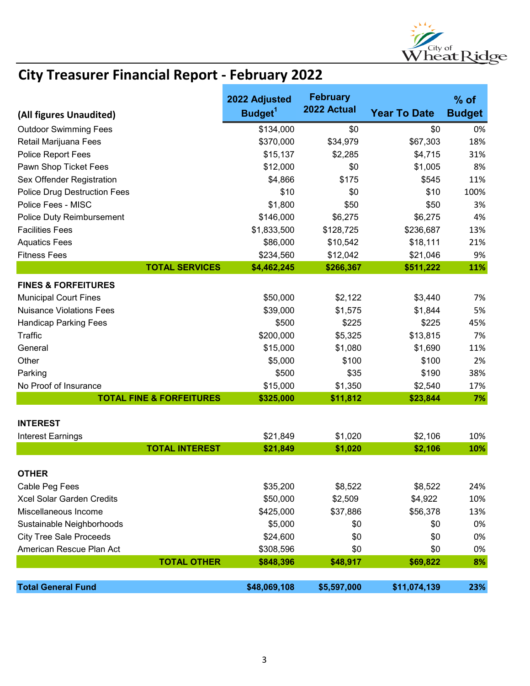

|                                     | 2022 Adjusted       | <b>February</b><br>2022 Actual |                     | $%$ of        |
|-------------------------------------|---------------------|--------------------------------|---------------------|---------------|
| (All figures Unaudited)             | Budget <sup>1</sup> |                                | <b>Year To Date</b> | <b>Budget</b> |
| <b>Outdoor Swimming Fees</b>        | \$134,000           | \$0                            | \$0                 | 0%            |
| Retail Marijuana Fees               | \$370,000           | \$34,979                       | \$67,303            | 18%           |
| Police Report Fees                  | \$15,137            | \$2,285                        | \$4,715             | 31%           |
| Pawn Shop Ticket Fees               | \$12,000            | \$0                            | \$1,005             | 8%            |
| Sex Offender Registration           | \$4,866             | \$175                          | \$545               | 11%           |
| <b>Police Drug Destruction Fees</b> | \$10                | \$0                            | \$10                | 100%          |
| Police Fees - MISC                  | \$1,800             | \$50                           | \$50                | 3%            |
| Police Duty Reimbursement           | \$146,000           | \$6,275                        | \$6,275             | 4%            |
| <b>Facilities Fees</b>              | \$1,833,500         | \$128,725                      | \$236,687           | 13%           |
| <b>Aquatics Fees</b>                | \$86,000            | \$10,542                       | \$18,111            | 21%           |
| <b>Fitness Fees</b>                 | \$234,560           | \$12,042                       | \$21,046            | 9%            |
| <b>TOTAL SERVICES</b>               | \$4,462,245         | \$266,367                      | \$511,222           | 11%           |
| <b>FINES &amp; FORFEITURES</b>      |                     |                                |                     |               |
| <b>Municipal Court Fines</b>        | \$50,000            | \$2,122                        | \$3,440             | 7%            |
| <b>Nuisance Violations Fees</b>     | \$39,000            | \$1,575                        | \$1,844             | 5%            |
| <b>Handicap Parking Fees</b>        | \$500               | \$225                          | \$225               | 45%           |
| Traffic                             | \$200,000           | \$5,325                        | \$13,815            | 7%            |
| General                             | \$15,000            | \$1,080                        | \$1,690             | 11%           |
| Other                               | \$5,000             | \$100                          | \$100               | 2%            |
| Parking                             | \$500               | \$35                           | \$190               | 38%           |
| No Proof of Insurance               | \$15,000            | \$1,350                        | \$2,540             | 17%           |
| <b>TOTAL FINE &amp; FORFEITURES</b> | \$325,000           | \$11,812                       | \$23,844            | 7%            |
|                                     |                     |                                |                     |               |
| <b>INTEREST</b>                     |                     |                                |                     |               |
| <b>Interest Earnings</b>            | \$21,849            | \$1,020                        | \$2,106             | 10%           |
| <b>TOTAL INTEREST</b>               | \$21,849            | \$1,020                        | \$2,106             | 10%           |
| <b>OTHER</b>                        |                     |                                |                     |               |
| Cable Peg Fees                      | \$35,200            | \$8,522                        | \$8,522             | 24%           |
| Xcel Solar Garden Credits           | \$50,000            | \$2,509                        | \$4,922             | 10%           |
| Miscellaneous Income                | \$425,000           | \$37,886                       | \$56,378            | 13%           |
| Sustainable Neighborhoods           | \$5,000             | \$0                            | \$0                 | 0%            |
| <b>City Tree Sale Proceeds</b>      | \$24,600            | \$0                            | \$0                 | 0%            |
| American Rescue Plan Act            | \$308,596           | \$0                            | \$0                 | 0%            |
| <b>TOTAL OTHER</b>                  | \$848,396           | \$48,917                       | \$69,822            | 8%            |
|                                     |                     |                                |                     |               |
| <b>Total General Fund</b>           | \$48,069,108        | \$5,597,000                    | \$11,074,139        | 23%           |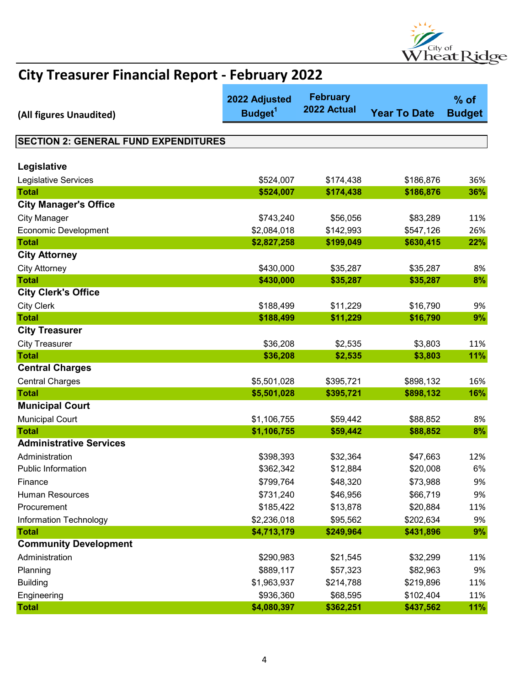

| (All figures Unaudited)                     | 2022 Adjusted<br>Budget <sup>1</sup> | <b>February</b><br>2022 Actual | <b>Year To Date</b> | $%$ of<br><b>Budget</b> |
|---------------------------------------------|--------------------------------------|--------------------------------|---------------------|-------------------------|
|                                             |                                      |                                |                     |                         |
| <b>SECTION 2: GENERAL FUND EXPENDITURES</b> |                                      |                                |                     |                         |
|                                             |                                      |                                |                     |                         |
| Legislative                                 |                                      |                                |                     |                         |
| Legislative Services                        | \$524,007                            | \$174,438                      | \$186,876           | 36%                     |
| <b>Total</b>                                | \$524,007                            | \$174,438                      | \$186,876           | 36%                     |
| <b>City Manager's Office</b>                |                                      |                                |                     |                         |
| <b>City Manager</b>                         | \$743,240                            | \$56,056                       | \$83,289            | 11%                     |
| <b>Economic Development</b>                 | \$2,084,018                          | \$142,993                      | \$547,126           | 26%                     |
| <b>Total</b>                                | \$2,827,258                          | \$199,049                      | \$630,415           | 22%                     |
| <b>City Attorney</b>                        |                                      |                                |                     |                         |
| <b>City Attorney</b>                        | \$430,000                            | \$35,287                       | \$35,287            | 8%                      |
| <b>Total</b>                                | \$430,000                            | \$35,287                       | \$35,287            | 8%                      |
| <b>City Clerk's Office</b>                  |                                      |                                |                     |                         |
| <b>City Clerk</b>                           | \$188,499                            | \$11,229                       | \$16,790            | 9%                      |
| <b>Total</b>                                | \$188,499                            | \$11,229                       | \$16,790            | 9%                      |
| <b>City Treasurer</b>                       |                                      |                                |                     |                         |
| <b>City Treasurer</b>                       | \$36,208                             | \$2,535                        | \$3,803             | 11%                     |
| <b>Total</b>                                | \$36,208                             | \$2,535                        | \$3,803             | 11%                     |
| <b>Central Charges</b>                      |                                      |                                |                     |                         |
| <b>Central Charges</b>                      | \$5,501,028                          | \$395,721                      | \$898,132           | 16%                     |
| <b>Total</b>                                | \$5,501,028                          | \$395,721                      | \$898,132           | 16%                     |
| <b>Municipal Court</b>                      |                                      |                                |                     |                         |
| <b>Municipal Court</b>                      | \$1,106,755                          | \$59,442                       | \$88,852            | 8%                      |
| <b>Total</b>                                | \$1,106,755                          | \$59,442                       | \$88,852            | 8%                      |
| <b>Administrative Services</b>              |                                      |                                |                     |                         |
| Administration                              | \$398,393                            | \$32,364                       | \$47,663            | 12%                     |
| <b>Public Information</b>                   | \$362,342                            | \$12,884                       | \$20,008            | 6%                      |
| Finance                                     | \$799,764                            | \$48,320                       | \$73,988            | 9%                      |
| Human Resources                             | \$731,240                            | \$46,956                       | \$66,719            | 9%                      |
| Procurement                                 | \$185,422                            | \$13,878                       | \$20,884            | 11%                     |
| Information Technology                      | \$2,236,018                          | \$95,562                       | \$202,634           | 9%                      |
| <b>Total</b>                                | \$4,713,179                          | \$249,964                      | \$431,896           | 9%                      |
| <b>Community Development</b>                |                                      |                                |                     |                         |
| Administration                              | \$290,983                            | \$21,545                       | \$32,299            | 11%                     |
| Planning                                    | \$889,117                            | \$57,323                       | \$82,963            | 9%                      |
| <b>Building</b>                             | \$1,963,937                          | \$214,788                      | \$219,896           | 11%                     |
| Engineering                                 | \$936,360                            | \$68,595                       | \$102,404           | 11%                     |
| <b>Total</b>                                | \$4,080,397                          | \$362,251                      | \$437,562           | 11%                     |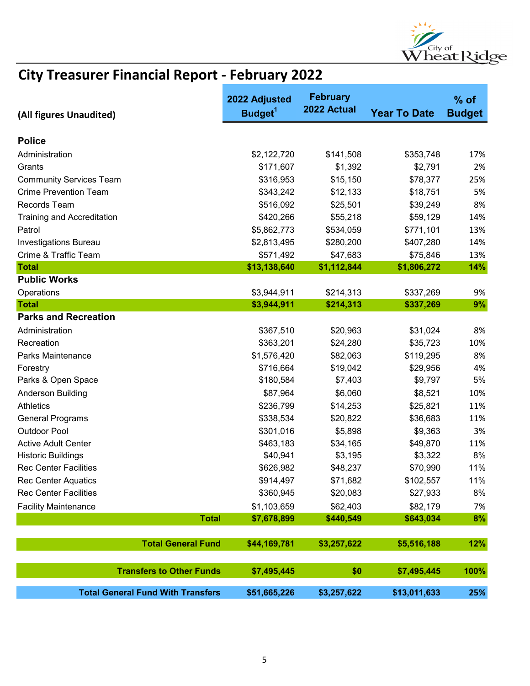

| (All figures Unaudited)                                        | 2022 Adjusted<br>Budget <sup>1</sup> | <b>February</b><br>2022 Actual | <b>Year To Date</b> | $%$ of<br><b>Budget</b> |
|----------------------------------------------------------------|--------------------------------------|--------------------------------|---------------------|-------------------------|
| <b>Police</b>                                                  |                                      |                                |                     |                         |
|                                                                |                                      |                                |                     |                         |
| Administration                                                 | \$2,122,720                          | \$141,508                      | \$353,748           | 17%                     |
| Grants                                                         | \$171,607                            | \$1,392                        | \$2,791             | 2%                      |
| <b>Community Services Team</b><br><b>Crime Prevention Team</b> | \$316,953                            | \$15,150                       | \$78,377            | 25%                     |
|                                                                | \$343,242                            | \$12,133                       | \$18,751            | 5%                      |
| Records Team                                                   | \$516,092                            | \$25,501                       | \$39,249            | 8%                      |
| <b>Training and Accreditation</b>                              | \$420,266                            | \$55,218                       | \$59,129            | 14%                     |
| Patrol                                                         | \$5,862,773                          | \$534,059                      | \$771,101           | 13%                     |
| <b>Investigations Bureau</b>                                   | \$2,813,495                          | \$280,200                      | \$407,280           | 14%                     |
| Crime & Traffic Team<br><b>Total</b>                           | \$571,492                            | \$47,683                       | \$75,846            | 13%                     |
| <b>Public Works</b>                                            | \$13,138,640                         | \$1,112,844                    | \$1,806,272         | 14%                     |
|                                                                |                                      |                                |                     |                         |
| Operations<br><b>Total</b>                                     | \$3,944,911<br>\$3,944,911           | \$214,313<br>\$214,313         | \$337,269           | 9%<br>9%                |
| <b>Parks and Recreation</b>                                    |                                      |                                | \$337,269           |                         |
|                                                                |                                      |                                |                     |                         |
| Administration<br>Recreation                                   | \$367,510                            | \$20,963                       | \$31,024            | 8%                      |
|                                                                | \$363,201                            | \$24,280                       | \$35,723            | 10%                     |
| Parks Maintenance                                              | \$1,576,420                          | \$82,063                       | \$119,295           | 8%                      |
| Forestry                                                       | \$716,664                            | \$19,042                       | \$29,956            | 4%<br>5%                |
| Parks & Open Space                                             | \$180,584                            | \$7,403                        | \$9,797             |                         |
| Anderson Building                                              | \$87,964                             | \$6,060                        | \$8,521             | 10%                     |
| <b>Athletics</b>                                               | \$236,799                            | \$14,253                       | \$25,821            | 11%                     |
| <b>General Programs</b>                                        | \$338,534                            | \$20,822                       | \$36,683            | 11%                     |
| <b>Outdoor Pool</b>                                            | \$301,016                            | \$5,898                        | \$9,363             | 3%                      |
| <b>Active Adult Center</b>                                     | \$463,183                            | \$34,165                       | \$49,870            | 11%                     |
| <b>Historic Buildings</b>                                      | \$40,941                             | \$3,195                        | \$3,322             | 8%                      |
| <b>Rec Center Facilities</b>                                   | \$626,982                            | \$48,237                       | \$70,990            | 11%                     |
| <b>Rec Center Aquatics</b>                                     | \$914,497                            | \$71,682                       | \$102,557           | 11%                     |
| <b>Rec Center Facilities</b>                                   | \$360,945                            | \$20,083                       | \$27,933            | 8%                      |
| <b>Facility Maintenance</b>                                    | \$1,103,659                          | \$62,403                       | \$82,179            | 7%                      |
| <b>Total</b>                                                   | \$7,678,899                          | \$440,549                      | \$643,034           | 8%                      |
| <b>Total General Fund</b>                                      | \$44,169,781                         | \$3,257,622                    | \$5,516,188         | 12%                     |
| <b>Transfers to Other Funds</b>                                | \$7,495,445                          | \$0                            | \$7,495,445         | 100%                    |
| <b>Total General Fund With Transfers</b>                       | \$51,665,226                         | \$3,257,622                    | \$13,011,633        | 25%                     |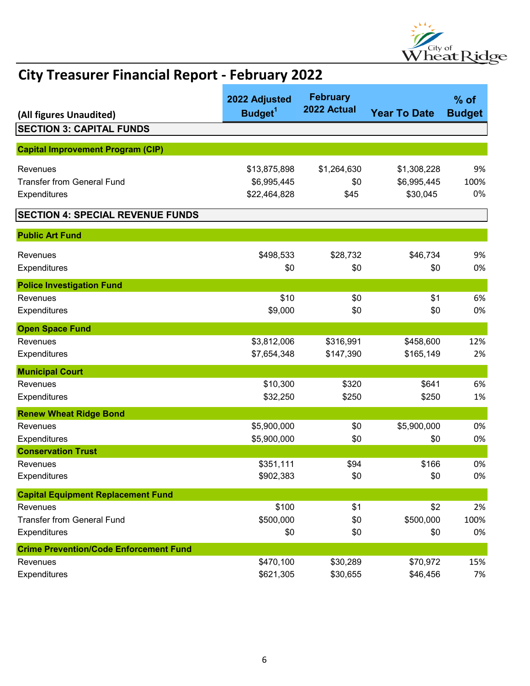

| (All figures Unaudited)                       | 2022 Adjusted<br>Budget <sup>1</sup> | <b>February</b><br>2022 Actual | <b>Year To Date</b> | $%$ of<br><b>Budget</b> |
|-----------------------------------------------|--------------------------------------|--------------------------------|---------------------|-------------------------|
| <b>SECTION 3: CAPITAL FUNDS</b>               |                                      |                                |                     |                         |
|                                               |                                      |                                |                     |                         |
| <b>Capital Improvement Program (CIP)</b>      |                                      |                                |                     |                         |
| Revenues                                      | \$13,875,898                         | \$1,264,630                    | \$1,308,228         | 9%                      |
| <b>Transfer from General Fund</b>             | \$6,995,445                          | \$0                            | \$6,995,445         | 100%                    |
| Expenditures                                  | \$22,464,828                         | \$45                           | \$30,045            | 0%                      |
| <b>SECTION 4: SPECIAL REVENUE FUNDS</b>       |                                      |                                |                     |                         |
| <b>Public Art Fund</b>                        |                                      |                                |                     |                         |
| Revenues                                      | \$498,533                            | \$28,732                       | \$46,734            | 9%                      |
| Expenditures                                  | \$0                                  | \$0                            | \$0                 | 0%                      |
| <b>Police Investigation Fund</b>              |                                      |                                |                     |                         |
| Revenues                                      | \$10                                 | \$0                            | \$1                 | 6%                      |
| Expenditures                                  | \$9,000                              | \$0                            | \$0                 | 0%                      |
| <b>Open Space Fund</b>                        |                                      |                                |                     |                         |
| Revenues                                      | \$3,812,006                          | \$316,991                      | \$458,600           | 12%                     |
| Expenditures                                  | \$7,654,348                          | \$147,390                      | \$165,149           | 2%                      |
| <b>Municipal Court</b>                        |                                      |                                |                     |                         |
| Revenues                                      | \$10,300                             | \$320                          | \$641               | 6%                      |
| Expenditures                                  | \$32,250                             | \$250                          | \$250               | 1%                      |
| <b>Renew Wheat Ridge Bond</b>                 |                                      |                                |                     |                         |
| Revenues                                      | \$5,900,000                          | \$0                            | \$5,900,000         | 0%                      |
| Expenditures                                  | \$5,900,000                          | \$0                            | \$0                 | 0%                      |
| <b>Conservation Trust</b>                     |                                      |                                |                     |                         |
| Revenues                                      | \$351,111                            | \$94                           | \$166               | 0%                      |
| Expenditures                                  | \$902,383                            | \$0                            | \$0                 | 0%                      |
| <b>Capital Equipment Replacement Fund</b>     |                                      |                                |                     |                         |
| Revenues                                      | \$100                                | \$1                            | \$2                 | 2%                      |
| <b>Transfer from General Fund</b>             | \$500,000                            | \$0                            | \$500,000           | 100%                    |
| Expenditures                                  | \$0                                  | \$0                            | \$0                 | 0%                      |
| <b>Crime Prevention/Code Enforcement Fund</b> |                                      |                                |                     |                         |
| Revenues                                      | \$470,100                            | \$30,289                       | \$70,972            | 15%                     |
| Expenditures                                  | \$621,305                            | \$30,655                       | \$46,456            | 7%                      |